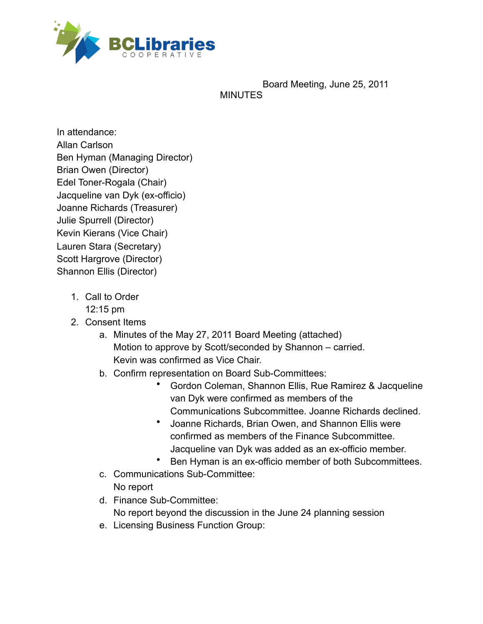

Board Meeting, June 25, 2011 MINUTES

In attendance: Allan Carlson Ben Hyman (Managing Director) Brian Owen (Director) Edel Toner-Rogala (Chair) Jacqueline van Dyk (ex-officio) Joanne Richards (Treasurer) Julie Spurrell (Director) Kevin Kierans (Vice Chair) Lauren Stara (Secretary) Scott Hargrove (Director) Shannon Ellis (Director)

- 1. Call to Order
	- 12:15 pm
- 2. Consent Items
	- a. Minutes of the May 27, 2011 Board Meeting (attached) Motion to approve by Scott/seconded by Shannon – carried. Kevin was confirmed as Vice Chair.
	- b. Confirm representation on Board Sub-Committees:
		- Gordon Coleman, Shannon Ellis, Rue Ramirez & Jacqueline van Dyk were confirmed as members of the Communications Subcommittee. Joanne Richards declined.
		- Joanne Richards, Brian Owen, and Shannon Ellis were confirmed as members of the Finance Subcommittee. Jacqueline van Dyk was added as an ex-officio member.
		- Ben Hyman is an ex-officio member of both Subcommittees.
	- c. Communications Sub-Committee: No report
	- d. Finance Sub-Committee: No report beyond the discussion in the June 24 planning session
	- e. Licensing Business Function Group: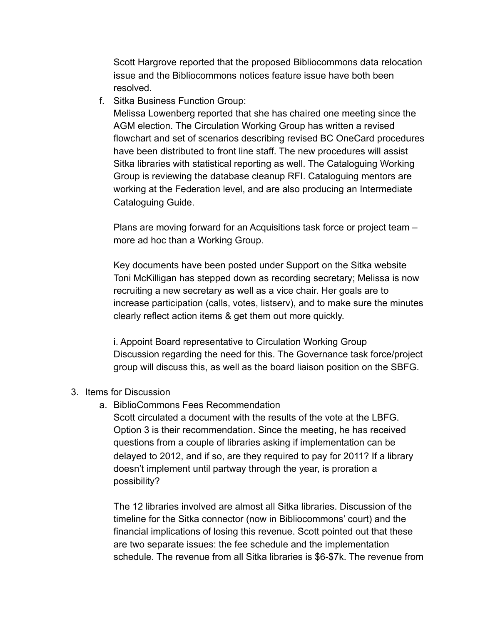Scott Hargrove reported that the proposed Bibliocommons data relocation issue and the Bibliocommons notices feature issue have both been resolved.

f. Sitka Business Function Group:

Melissa Lowenberg reported that she has chaired one meeting since the AGM election. The Circulation Working Group has written a revised flowchart and set of scenarios describing revised BC OneCard procedures have been distributed to front line staff. The new procedures will assist Sitka libraries with statistical reporting as well. The Cataloguing Working Group is reviewing the database cleanup RFI. Cataloguing mentors are working at the Federation level, and are also producing an Intermediate Cataloguing Guide.

Plans are moving forward for an Acquisitions task force or project team – more ad hoc than a Working Group.

Key documents have been posted under Support on the Sitka website Toni McKilligan has stepped down as recording secretary; Melissa is now recruiting a new secretary as well as a vice chair. Her goals are to increase participation (calls, votes, listserv), and to make sure the minutes clearly reflect action items & get them out more quickly.

i. Appoint Board representative to Circulation Working Group Discussion regarding the need for this. The Governance task force/project group will discuss this, as well as the board liaison position on the SBFG.

- 3. Items for Discussion
	- a. BiblioCommons Fees Recommendation

Scott circulated a document with the results of the vote at the LBFG. Option 3 is their recommendation. Since the meeting, he has received questions from a couple of libraries asking if implementation can be delayed to 2012, and if so, are they required to pay for 2011? If a library doesn't implement until partway through the year, is proration a possibility?

The 12 libraries involved are almost all Sitka libraries. Discussion of the timeline for the Sitka connector (now in Bibliocommons' court) and the financial implications of losing this revenue. Scott pointed out that these are two separate issues: the fee schedule and the implementation schedule. The revenue from all Sitka libraries is \$6-\$7k. The revenue from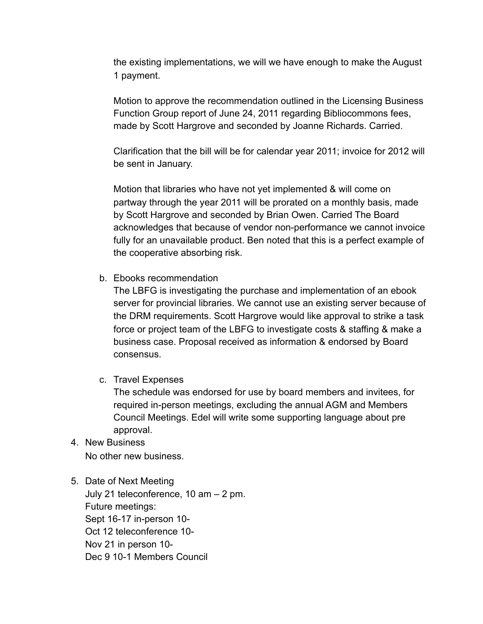the existing implementations, we will we have enough to make the August 1 payment.

Motion to approve the recommendation outlined in the Licensing Business Function Group report of June 24, 2011 regarding Bibliocommons fees, made by Scott Hargrove and seconded by Joanne Richards. Carried.

Clarification that the bill will be for calendar year 2011; invoice for 2012 will be sent in January.

Motion that libraries who have not yet implemented & will come on partway through the year 2011 will be prorated on a monthly basis, made by Scott Hargrove and seconded by Brian Owen. Carried The Board acknowledges that because of vendor non-performance we cannot invoice fully for an unavailable product. Ben noted that this is a perfect example of the cooperative absorbing risk.

b. Ebooks recommendation

The LBFG is investigating the purchase and implementation of an ebook server for provincial libraries. We cannot use an existing server because of the DRM requirements. Scott Hargrove would like approval to strike a task force or project team of the LBFG to investigate costs & staffing & make a business case. Proposal received as information & endorsed by Board consensus.

c. Travel Expenses

The schedule was endorsed for use by board members and invitees, for required in-person meetings, excluding the annual AGM and Members Council Meetings. Edel will write some supporting language about pre approval.

4. New Business No other new business.

## 5. Date of Next Meeting

July 21 teleconference, 10 am – 2 pm. Future meetings: Sept 16-17 in-person 10- Oct 12 teleconference 10- Nov 21 in person 10- Dec 9 10-1 Members Council